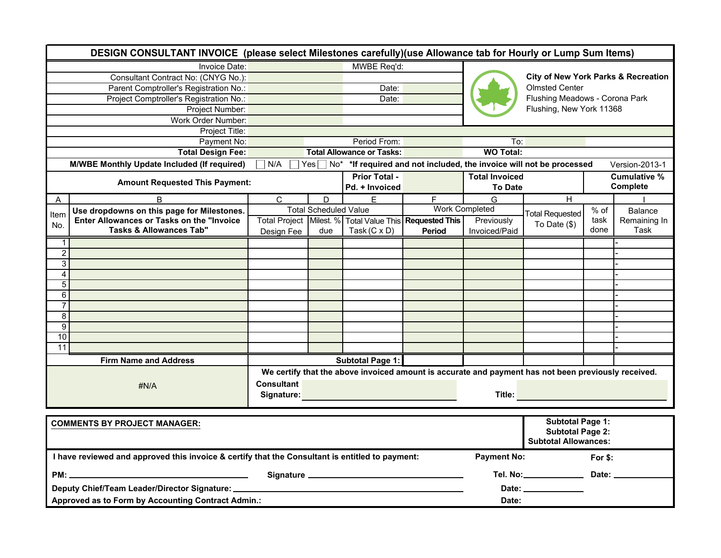| DESIGN CONSULTANT INVOICE (please select Milestones carefully)(use Allowance tab for Hourly or Lump Sum Items) |                                                                                  |                   |                              |                                  |                                                         |                       |                                                                                                     |          |                |  |
|----------------------------------------------------------------------------------------------------------------|----------------------------------------------------------------------------------|-------------------|------------------------------|----------------------------------|---------------------------------------------------------|-----------------------|-----------------------------------------------------------------------------------------------------|----------|----------------|--|
|                                                                                                                | Invoice Date:                                                                    |                   |                              | MWBE Req'd:                      |                                                         |                       |                                                                                                     |          |                |  |
|                                                                                                                | Consultant Contract No: (CNYG No.):                                              |                   |                              |                                  |                                                         |                       | <b>City of New York Parks &amp; Recreation</b><br><b>Olmsted Center</b>                             |          |                |  |
|                                                                                                                | Parent Comptroller's Registration No.:                                           |                   |                              | $\overline{Date}$ :              |                                                         |                       |                                                                                                     |          |                |  |
|                                                                                                                | Project Comptroller's Registration No.:                                          |                   |                              | Date:                            |                                                         |                       | Flushing Meadows - Corona Park                                                                      |          |                |  |
|                                                                                                                | Project Number:                                                                  |                   |                              |                                  |                                                         |                       | Flushing, New York 11368                                                                            |          |                |  |
|                                                                                                                | Work Order Number:                                                               |                   |                              |                                  |                                                         |                       |                                                                                                     |          |                |  |
| Project Title:                                                                                                 |                                                                                  |                   |                              |                                  |                                                         |                       |                                                                                                     |          |                |  |
|                                                                                                                | Payment No:                                                                      | Period From:      |                              |                                  |                                                         | To:                   |                                                                                                     |          |                |  |
|                                                                                                                | <b>Total Design Fee:</b>                                                         |                   |                              | <b>Total Allowance or Tasks:</b> |                                                         | <b>WO Total:</b>      |                                                                                                     |          |                |  |
|                                                                                                                | M/WBE Monthly Update Included (If required)                                      | N/A               |                              |                                  |                                                         |                       | $Yes \Box No^*$ *If required and not included, the invoice will not be processed                    |          | Version-2013-1 |  |
|                                                                                                                | <b>Amount Requested This Payment:</b>                                            |                   |                              | <b>Prior Total -</b>             |                                                         | <b>Total Invoiced</b> |                                                                                                     |          | Cumulative %   |  |
|                                                                                                                |                                                                                  |                   |                              | Pd. + Invoiced                   |                                                         | <b>To Date</b>        |                                                                                                     | Complete |                |  |
| A                                                                                                              | B                                                                                | $\mathsf{C}$      | D                            | $\overline{E}$                   | $\overline{F}$                                          | G                     | $\overline{H}$                                                                                      |          |                |  |
| Item                                                                                                           | Use dropdowns on this page for Milestones.                                       |                   | <b>Total Scheduled Value</b> |                                  |                                                         | <b>Work Completed</b> | <b>Total Requested</b>                                                                              | $%$ of   | Balance        |  |
| No.                                                                                                            | Enter Allowances or Tasks on the "Invoice                                        |                   |                              |                                  | Total Project Milest. % Total Value This Requested This | Previously            | To Date $(\$)$                                                                                      | task     | Remaining In   |  |
|                                                                                                                | <b>Tasks &amp; Allowances Tab"</b>                                               | Design Fee        | due                          | Task $(C \times D)$              | Period                                                  | Invoiced/Paid         |                                                                                                     | done     | Task           |  |
| 1 <sup>1</sup>                                                                                                 |                                                                                  |                   |                              |                                  |                                                         |                       |                                                                                                     |          |                |  |
| $\overline{2}$                                                                                                 |                                                                                  |                   |                              |                                  |                                                         |                       |                                                                                                     |          |                |  |
| 3                                                                                                              |                                                                                  |                   |                              |                                  |                                                         |                       |                                                                                                     |          |                |  |
| 4                                                                                                              |                                                                                  |                   |                              |                                  |                                                         |                       |                                                                                                     |          |                |  |
| $\overline{5}$<br>6                                                                                            |                                                                                  |                   |                              |                                  |                                                         |                       |                                                                                                     |          |                |  |
| $\overline{7}$                                                                                                 |                                                                                  |                   |                              |                                  |                                                         |                       |                                                                                                     |          |                |  |
| $\overline{\mathbf{8}}$                                                                                        |                                                                                  |                   |                              |                                  |                                                         |                       |                                                                                                     |          |                |  |
| 9                                                                                                              |                                                                                  |                   |                              |                                  |                                                         |                       |                                                                                                     |          |                |  |
| 10                                                                                                             |                                                                                  |                   |                              |                                  |                                                         |                       |                                                                                                     |          |                |  |
| $\overline{11}$                                                                                                |                                                                                  |                   |                              |                                  |                                                         |                       |                                                                                                     |          |                |  |
|                                                                                                                | <b>Firm Name and Address</b>                                                     |                   |                              | Subtotal Page 1:                 |                                                         |                       |                                                                                                     |          |                |  |
|                                                                                                                |                                                                                  |                   |                              |                                  |                                                         |                       | We certify that the above invoiced amount is accurate and payment has not been previously received. |          |                |  |
|                                                                                                                |                                                                                  | <b>Consultant</b> |                              |                                  |                                                         |                       |                                                                                                     |          |                |  |
|                                                                                                                | #N/A                                                                             | Signature:        |                              |                                  |                                                         |                       | Title:                                                                                              |          |                |  |
|                                                                                                                |                                                                                  |                   |                              |                                  |                                                         |                       |                                                                                                     |          |                |  |
|                                                                                                                |                                                                                  |                   |                              |                                  |                                                         |                       |                                                                                                     |          |                |  |
| <b>COMMENTS BY PROJECT MANAGER:</b>                                                                            |                                                                                  |                   |                              |                                  |                                                         |                       | <b>Subtotal Page 1:</b>                                                                             |          |                |  |
|                                                                                                                |                                                                                  |                   |                              |                                  |                                                         |                       | <b>Subtotal Page 2:</b><br><b>Subtotal Allowances:</b>                                              |          |                |  |
|                                                                                                                |                                                                                  |                   |                              |                                  |                                                         |                       |                                                                                                     |          |                |  |
| I have reviewed and approved this invoice & certify that the Consultant is entitled to payment:                |                                                                                  |                   |                              |                                  |                                                         | <b>Payment No:</b>    |                                                                                                     | For \$:  |                |  |
|                                                                                                                |                                                                                  |                   |                              |                                  |                                                         |                       | Tel. No: _____________                                                                              | Date:    |                |  |
|                                                                                                                | Deputy Chief/Team Leader/Director Signature: ___________________________________ |                   |                              |                                  |                                                         |                       | Date: ______                                                                                        |          |                |  |
|                                                                                                                | Approved as to Form by Accounting Contract Admin.:                               |                   |                              |                                  |                                                         | Date:                 |                                                                                                     |          |                |  |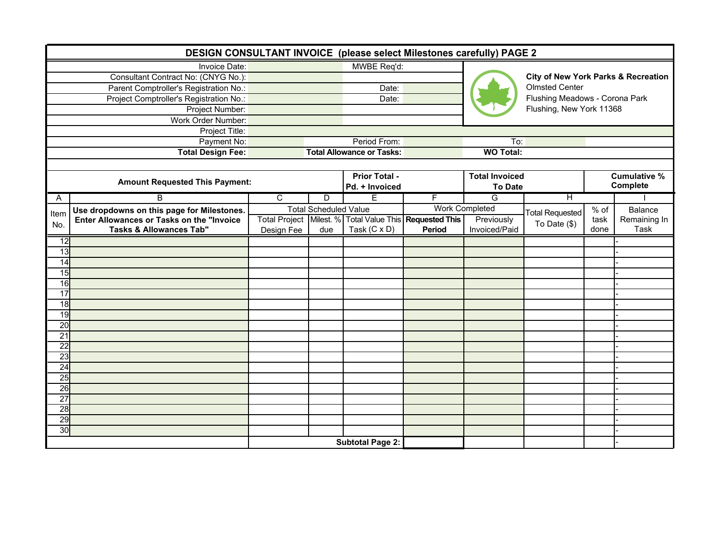| DESIGN CONSULTANT INVOICE (please select Milestones carefully) PAGE 2 |                                            |                                        |                              |                                          |                       |                         |                                                |                                |                |  |  |
|-----------------------------------------------------------------------|--------------------------------------------|----------------------------------------|------------------------------|------------------------------------------|-----------------------|-------------------------|------------------------------------------------|--------------------------------|----------------|--|--|
|                                                                       | Invoice Date:                              | MWBE Req'd:                            |                              |                                          |                       |                         | <b>City of New York Parks &amp; Recreation</b> |                                |                |  |  |
|                                                                       | Consultant Contract No: (CNYG No.):        |                                        |                              |                                          |                       |                         |                                                |                                |                |  |  |
|                                                                       | Parent Comptroller's Registration No.:     | Date:                                  |                              |                                          |                       |                         | <b>Olmsted Center</b>                          |                                |                |  |  |
|                                                                       | Project Comptroller's Registration No.:    |                                        |                              | Date:                                    |                       |                         |                                                | Flushing Meadows - Corona Park |                |  |  |
|                                                                       | Project Number:                            |                                        |                              |                                          |                       |                         | Flushing, New York 11368                       |                                |                |  |  |
|                                                                       | Work Order Number:                         |                                        |                              |                                          |                       |                         |                                                |                                |                |  |  |
|                                                                       | Project Title:                             |                                        |                              |                                          |                       |                         |                                                |                                |                |  |  |
|                                                                       | Payment No:                                | Period From:                           |                              |                                          | To:                   |                         |                                                |                                |                |  |  |
|                                                                       | <b>Total Design Fee:</b>                   | <b>Total Allowance or Tasks:</b>       |                              |                                          |                       | <b>WO Total:</b>        |                                                |                                |                |  |  |
|                                                                       |                                            |                                        |                              |                                          |                       |                         |                                                |                                |                |  |  |
|                                                                       | <b>Amount Requested This Payment:</b>      | <b>Prior Total -</b><br>Pd. + Invoiced |                              | <b>Total Invoiced</b>                    |                       |                         | <b>Cumulative %</b><br>Complete                |                                |                |  |  |
|                                                                       |                                            |                                        |                              |                                          |                       | <b>To Date</b>          |                                                |                                |                |  |  |
| Α                                                                     | $\overline{B}$                             | $\overline{\mathsf{C}}$                | $\overline{D}$               | E                                        | F                     | $\overline{\mathsf{G}}$ | Η                                              |                                |                |  |  |
| Item                                                                  | Use dropdowns on this page for Milestones. |                                        | <b>Total Scheduled Value</b> |                                          | <b>Work Completed</b> |                         | <b>Total Requested</b>                         | $%$ of                         | <b>Balance</b> |  |  |
| No.                                                                   | Enter Allowances or Tasks on the "Invoice  |                                        |                              | Total Project Milest. % Total Value This | <b>Requested This</b> | Previously              | To Date $($)$                                  | task                           | Remaining In   |  |  |
|                                                                       | <b>Tasks &amp; Allowances Tab"</b>         | Design Fee                             | due                          | Task $(C \times D)$                      | Period                | Invoiced/Paid           |                                                | done                           | Task           |  |  |
| $\overline{12}$                                                       |                                            |                                        |                              |                                          |                       |                         |                                                |                                |                |  |  |
| 13                                                                    |                                            |                                        |                              |                                          |                       |                         |                                                |                                |                |  |  |
| 14                                                                    |                                            |                                        |                              |                                          |                       |                         |                                                |                                |                |  |  |
| 15                                                                    |                                            |                                        |                              |                                          |                       |                         |                                                |                                |                |  |  |
| 16                                                                    |                                            |                                        |                              |                                          |                       |                         |                                                |                                |                |  |  |
| 17                                                                    |                                            |                                        |                              |                                          |                       |                         |                                                |                                |                |  |  |
| 18                                                                    |                                            |                                        |                              |                                          |                       |                         |                                                |                                |                |  |  |
| 19                                                                    |                                            |                                        |                              |                                          |                       |                         |                                                |                                |                |  |  |
| 20                                                                    |                                            |                                        |                              |                                          |                       |                         |                                                |                                |                |  |  |
| 21                                                                    |                                            |                                        |                              |                                          |                       |                         |                                                |                                |                |  |  |
| 22                                                                    |                                            |                                        |                              |                                          |                       |                         |                                                |                                |                |  |  |
| 23                                                                    |                                            |                                        |                              |                                          |                       |                         |                                                |                                |                |  |  |
| 24                                                                    |                                            |                                        |                              |                                          |                       |                         |                                                |                                |                |  |  |
| 25                                                                    |                                            |                                        |                              |                                          |                       |                         |                                                |                                |                |  |  |
| 26                                                                    |                                            |                                        |                              |                                          |                       |                         |                                                |                                |                |  |  |
| $\overline{27}$                                                       |                                            |                                        |                              |                                          |                       |                         |                                                |                                |                |  |  |
| $\overline{28}$                                                       |                                            |                                        |                              |                                          |                       |                         |                                                |                                |                |  |  |
| 29                                                                    |                                            |                                        |                              |                                          |                       |                         |                                                |                                |                |  |  |
| 30                                                                    |                                            |                                        |                              |                                          |                       |                         |                                                |                                |                |  |  |
|                                                                       |                                            |                                        |                              | <b>Subtotal Page 2:</b>                  |                       |                         |                                                |                                |                |  |  |